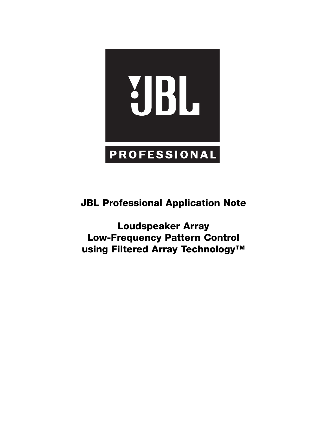

**JBL Professional Application Note** 

**Loudspeaker Array Low-Frequency Pattern Control using Filtered Array Technology™**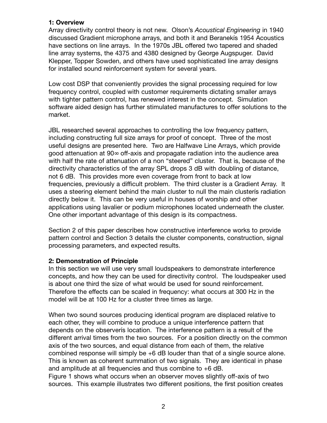### **1: Overview**

Array directivity control theory is not new. Olson's *Acoustical Engineering* in 1940 discussed Gradient microphone arrays, and both it and Beranekís 1954 Acoustics have sections on line arrays. In the 1970s JBL offered two tapered and shaded line array systems, the 4375 and 4380 designed by George Augspuger. David Klepper, Topper Sowden, and others have used sophisticated line array designs for installed sound reinforcement system for several years.

Low cost DSP that conveniently provides the signal processing required for low frequency control, coupled with customer requirements dictating smaller arrays with tighter pattern control, has renewed interest in the concept. Simulation software aided design has further stimulated manufactures to offer solutions to the market.

JBL researched several approaches to controlling the low frequency pattern, including constructing full size arrays for proof of concept. Three of the most useful designs are presented here. Two are Halfwave Line Arrays, which provide good attenuation at 90∞ off-axis and propagate radiation into the audience area with half the rate of attenuation of a non "steered" cluster. That is, because of the directivity characteristics of the array SPL drops 3 dB with doubling of distance, not 6 dB. This provides more even coverage from front to back at low frequencies, previously a difficult problem. The third cluster is a Gradient Array. It uses a steering element behind the main cluster to null the main clusterís radiation directly below it. This can be very useful in houses of worship and other applications using lavalier or podium microphones located underneath the cluster. One other important advantage of this design is its compactness.

Section 2 of this paper describes how constructive interference works to provide pattern control and Section 3 details the cluster components, construction, signal processing parameters, and expected results.

# **2: Demonstration of Principle**

In this section we will use very small loudspeakers to demonstrate interference concepts, and how they can be used for directivity control. The loudspeaker used is about one third the size of what would be used for sound reinforcement. Therefore the effects can be scaled in frequency: what occurs at 300 Hz in the model will be at 100 Hz for a cluster three times as large.

When two sound sources producing identical program are displaced relative to each other, they will combine to produce a unique interference pattern that depends on the observerís location. The interference pattern is a result of the different arrival times from the two sources. For a position directly on the common axis of the two sources, and equal distance from each of them, the relative combined response will simply be +6 dB louder than that of a single source alone. This is known as coherent summation of two signals. They are identical in phase and amplitude at all frequencies and thus combine to +6 dB. Figure 1 shows what occurs when an observer moves slightly off-axis of two sources. This example illustrates two different positions, the first position creates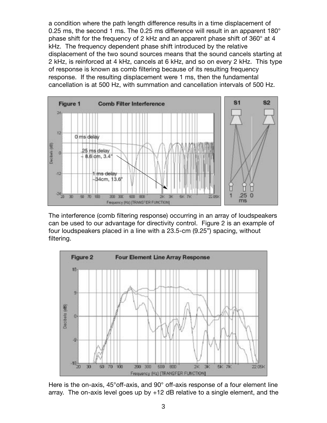a condition where the path length difference results in a time displacement of 0.25 ms, the second 1 ms. The 0.25 ms difference will result in an apparent  $180^\circ$ phase shift for the frequency of 2 kHz and an apparent phase shift of 360° at 4 kHz. The frequency dependent phase shift introduced by the relative displacement of the two sound sources means that the sound cancels starting at 2 kHz, is reinforced at 4 kHz, cancels at 6 kHz, and so on every 2 kHz. This type of response is known as comb filtering because of its resulting frequency response. If the resulting displacement were 1 ms, then the fundamental cancellation is at 500 Hz, with summation and cancellation intervals of 500 Hz.



The interference (comb filtering response) occurring in an array of loudspeakers can be used to our advantage for directivity control. Figure 2 is an example of four loudspeakers placed in a line with a 23.5-cm (9.25") spacing, without filtering.



Here is the on-axis, 45°off-axis, and 90° off-axis response of a four element line array. The on-axis level goes up by +12 dB relative to a single element, and the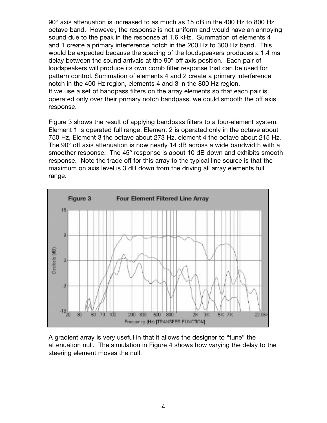90° axis attenuation is increased to as much as 15 dB in the 400 Hz to 800 Hz octave band. However, the response is not uniform and would have an annoying sound due to the peak in the response at 1.6 kHz. Summation of elements 4 and 1 create a primary interference notch in the 200 Hz to 300 Hz band. This would be expected because the spacing of the loudspeakers produces a 1.4 ms delay between the sound arrivals at the 90° off axis position. Each pair of loudspeakers will produce its own comb filter response that can be used for pattern control. Summation of elements 4 and 2 create a primary interference notch in the 400 Hz region, elements 4 and 3 in the 800 Hz region. If we use a set of bandpass filters on the array elements so that each pair is operated only over their primary notch bandpass, we could smooth the off axis response.

Figure 3 shows the result of applying bandpass filters to a four-element system. Element 1 is operated full range, Element 2 is operated only in the octave about 750 Hz, Element 3 the octave about 273 Hz, element 4 the octave about 215 Hz. The 90° off axis attenuation is now nearly 14 dB across a wide bandwidth with a smoother response. The 45° response is about 10 dB down and exhibits smooth response. Note the trade off for this array to the typical line source is that the maximum on axis level is 3 dB down from the driving all array elements full range.



A gradient array is very useful in that it allows the designer to "tune" the attenuation null. The simulation in Figure 4 shows how varying the delay to the steering element moves the null.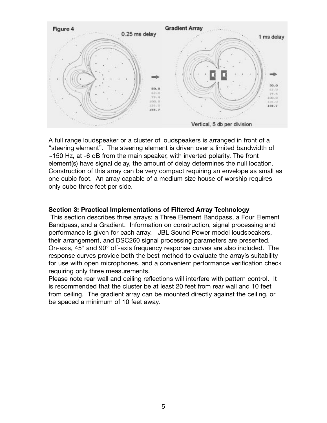

A full range loudspeaker or a cluster of loudspeakers is arranged in front of a "steering element". The steering element is driven over a limited bandwidth of ~150 Hz, at -6 dB from the main speaker, with inverted polarity. The front element(s) have signal delay, the amount of delay determines the null location. Construction of this array can be very compact requiring an envelope as small as one cubic foot. An array capable of a medium size house of worship requires only cube three feet per side.

#### **Section 3: Practical Implementations of Filtered Array Technology**

This section describes three arrays; a Three Element Bandpass, a Four Element Bandpass, and a Gradient. Information on construction, signal processing and performance is given for each array. JBL Sound Power model loudspeakers, their arrangement, and DSC260 signal processing parameters are presented. On-axis, 45° and 90° off-axis frequency response curves are also included. The response curves provide both the best method to evaluate the arrayís suitability for use with open microphones, and a convenient performance verification check requiring only three measurements.

Please note rear wall and ceiling reflections will interfere with pattern control. It is recommended that the cluster be at least 20 feet from rear wall and 10 feet from ceiling. The gradient array can be mounted directly against the ceiling, or be spaced a minimum of 10 feet away.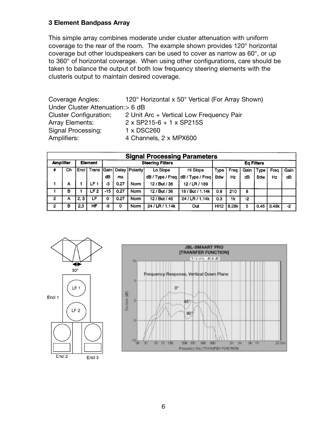### **3 Element Bandpass Array**

This simple array combines moderate under cluster attenuation with uniform coverage to the rear of the room. The example shown provides 120° horizontal coverage but other loudspeakers can be used to cover as narrow as 60°, or up to 360° of horizontal coverage. When using other configurations, care should be taken to balance the output of both low frequency steering elements with the clusterís output to maintain desired coverage.

Coverage Angles: 120° Horizontal x 50° Vertical (For Array Shown) Under Cluster Attenuation:> 6 dB Cluster Configuration: 2 Unit Arc + Vertical Low Frequency Pair Array Elements: 2 x SP215-6 + 1 x SP215S Signal Processing: 1 x DSC260 Amplifiers: 4 Channels, 2 x MPX600

|                  | <b>Signal Processing Parameters</b> |                |                   |                            |      |          |                  |                  |             |                   |      |            |       |      |  |  |
|------------------|-------------------------------------|----------------|-------------------|----------------------------|------|----------|------------------|------------------|-------------|-------------------|------|------------|-------|------|--|--|
| <b>Amplifier</b> |                                     | <b>Element</b> |                   | <b>Steering Filters</b>    |      |          |                  |                  |             | <b>Eq Filters</b> |      |            |       |      |  |  |
| #                | Ch                                  |                | <b>Encl Trans</b> | <b>Gain Delay Polarity</b> |      | Lo Slope | Hi Slope         | Type             | Freq        | Gain              | Type | Freg       | Gain  |      |  |  |
|                  |                                     |                |                   | dB                         | ms   |          | dB / Type / Freq | dB / Type / Freq | <b>Bdw</b>  | Hz                | dB   | <b>Bdw</b> | Hz    | dB   |  |  |
|                  | A                                   |                | LF 1              | -3                         | 0.27 | Norm     | 12 / But / 36    | 12/LR/189        |             |                   |      |            |       |      |  |  |
|                  | в                                   |                | LF <sub>2</sub>   | -15                        | 0.27 | Norm     | 12 / But / 36    | 18 / But / 1.14k | 0.8         | 210               | 8    |            |       |      |  |  |
| 2                | А                                   | 2.3            | LF                | ٥                          | 0.27 | Norm     | 12 / But / 46    | 24 / LR / 1.14k  | 0.3         | 1k                | -2   |            |       |      |  |  |
| 2                | в                                   | 2,3            | HF                | -8                         | 0    | Norm     | 24 / LR / 1.14k  | Out              | <b>Hi12</b> | 8.28k             | 5    | 0.45       | 3.48k | $-2$ |  |  |



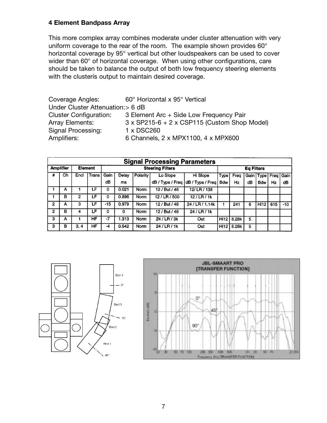# **4 Element Bandpass Array**

This more complex array combines moderate under cluster attenuation with very uniform coverage to the rear of the room. The example shown provides 60° horizontal coverage by 95° vertical but other loudspeakers can be used to cover wider than 60° of horizontal coverage. When using other configurations, care should be taken to balance the output of both low frequency steering elements with the clusterís output to maintain desired coverage.

| Coverage Angles:                  | 60° Horizontal x 95° Vertical                       |  |  |  |  |  |
|-----------------------------------|-----------------------------------------------------|--|--|--|--|--|
| Under Cluster Attenuation: > 6 dB |                                                     |  |  |  |  |  |
| <b>Cluster Configuration:</b>     | 3 Element Arc + Side Low Frequency Pair             |  |  |  |  |  |
| <b>Array Elements:</b>            | $3 \times$ SP215-6 + 2 x CSP115 (Custom Shop Model) |  |  |  |  |  |
| Signal Processing:                | 1 x DSC260                                          |  |  |  |  |  |
| Amplifiers:                       | 6 Channels, 2 x MPX1100, 4 x MPX600                 |  |  |  |  |  |

|                  | <b>Signal Processing Parameters</b> |                      |     |                         |             |             |                  |                  |                   |           |    |                           |     |       |  |
|------------------|-------------------------------------|----------------------|-----|-------------------------|-------------|-------------|------------------|------------------|-------------------|-----------|----|---------------------------|-----|-------|--|
| <b>Amplifier</b> |                                     | <b>Element</b>       |     | <b>Steering Filters</b> |             |             |                  |                  | <b>Eq Filters</b> |           |    |                           |     |       |  |
| #                | Ch                                  | <b>Trans</b><br>Encl |     | Gain                    | Delay       | Polarity    | Lo Slope         | Hi Slope         | Type              | Frea      |    | Gain   Type   Freq   Gain |     |       |  |
|                  |                                     |                      |     | dB                      | ms          |             | dB / Type / Freq | dB / Type / Freq | <b>Bdw</b>        | <b>Hz</b> | dB | <b>Bdw</b>                | Hz  | dB    |  |
|                  | А                                   |                      | LF  | 0                       | 0.021       | <b>Norm</b> | 12 / But / 46    | 12/LR/138        |                   |           |    |                           |     |       |  |
|                  | в                                   | 2                    | LF  | 0                       | 0.896       | Norm        | 12/LR/500        | $12$ / LR / 1k   |                   |           |    |                           |     |       |  |
| $\mathbf{2}$     | Α                                   | 3                    | LF. | $-15$                   | 0.979       | Norm        | 12 / But / 46    | 24 / LR / 1.14k  |                   | 241       | 6  | <b>Hi12</b>               | 615 | $-10$ |  |
| 2                | в                                   | 4                    | LF  | 0                       | $\mathbf 0$ | Norm        | 12 / But / 46    | 24 / LR / 1k     |                   |           |    |                           |     |       |  |
| з                | Α                                   |                      | HF  | $-7$                    | 1.313       | <b>Norm</b> | 24 / LR / 3k     | Out              | Hi12              | 8.28k     | 5  |                           |     |       |  |
| з                | в                                   | 3, 4                 | ΗF  | -4                      | 0.542       | <b>Norm</b> | 24 / LR / 1k     | Out              | Hi12              | 8.28k     | 5  |                           |     |       |  |